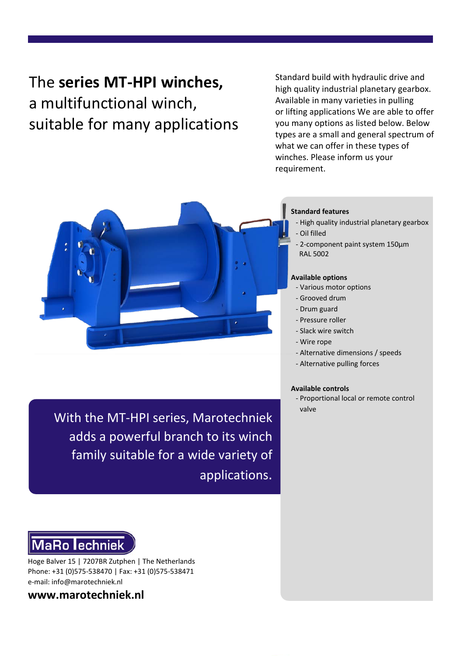# The **series MT-HPI winches,**  a multifunctional winch, suitable for many applications

Standard build with hydraulic drive and high quality industrial planetary gearbox. Available in many varieties in pulling or lifting applications We are able to offer you many options as listed below. Below types are a small and general spectrum of what we can offer in these types of winches. Please inform us your requirement.



### **Standard features**

- High quality industrial planetary gearbox - Oil filled
- 2-component paint system 150μm RAL 5002

### **Available options**

- Various motor options
- Grooved drum
- Drum guard
- Pressure roller
- Slack wire switch
- Wire rope
- Alternative dimensions / speeds
- Alternative pulling forces

### **Available controls**

- Proportional local or remote control valve

With the MT-HPI series, Marotechniek adds a powerful branch to its winch family suitable for a wide variety of applications.

# **MaRo lechniek**

Hoge Balver 15 | 7207BR Zutphen | The Netherlands Phone: +31 (0)575-538470 | Fax: +31 (0)575-538471 e-mail: info@marotechniek.nl

**www.marotechniek.nl**